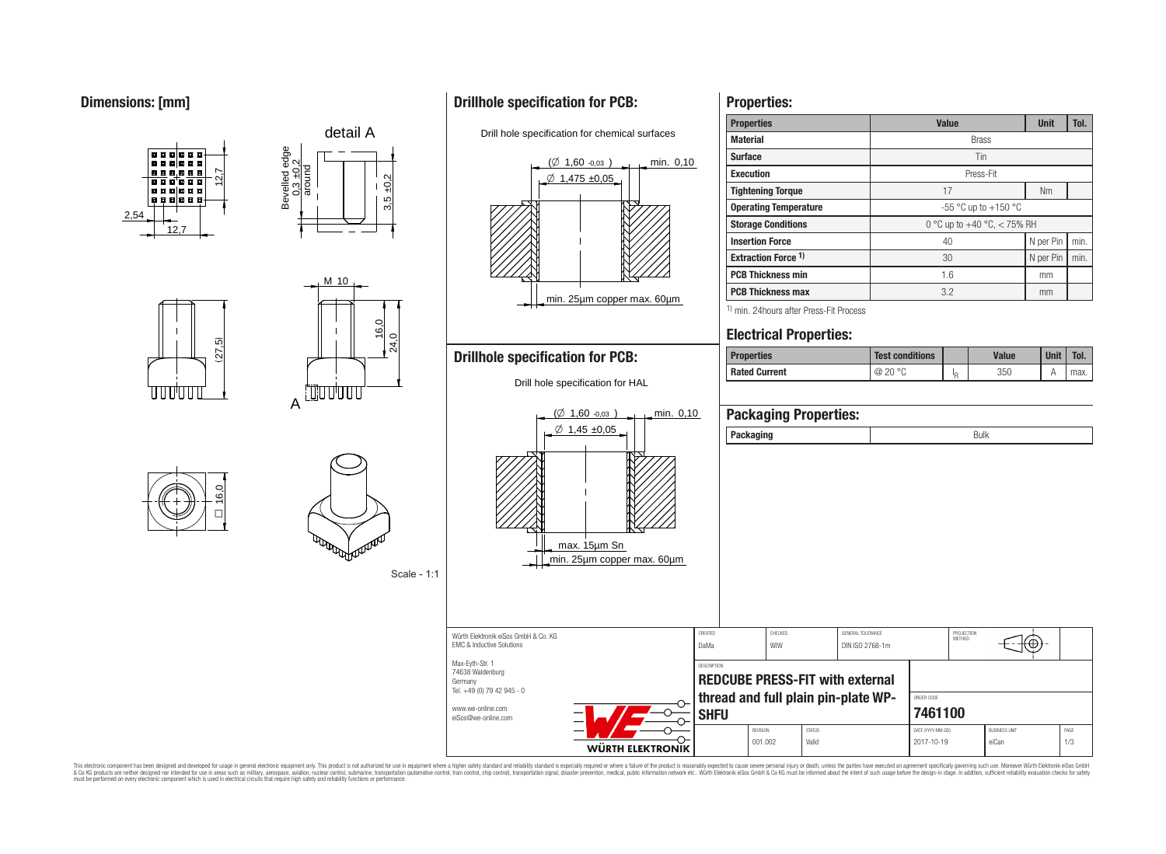# **Dimensions: [mm]**



**Properties:**

This electronic component has been designed and developed for usage in general electronic equipment only. This product is not authorized for use in equipment where a higher safety standard and reliability standard is espec & Ook product a label and the membed of the seasuch as marked and as which such a membed and the such assume that income in the seasuch and the simulation and the such assume that include to the such a membed and the such

# **Drillhole specification for PCB:**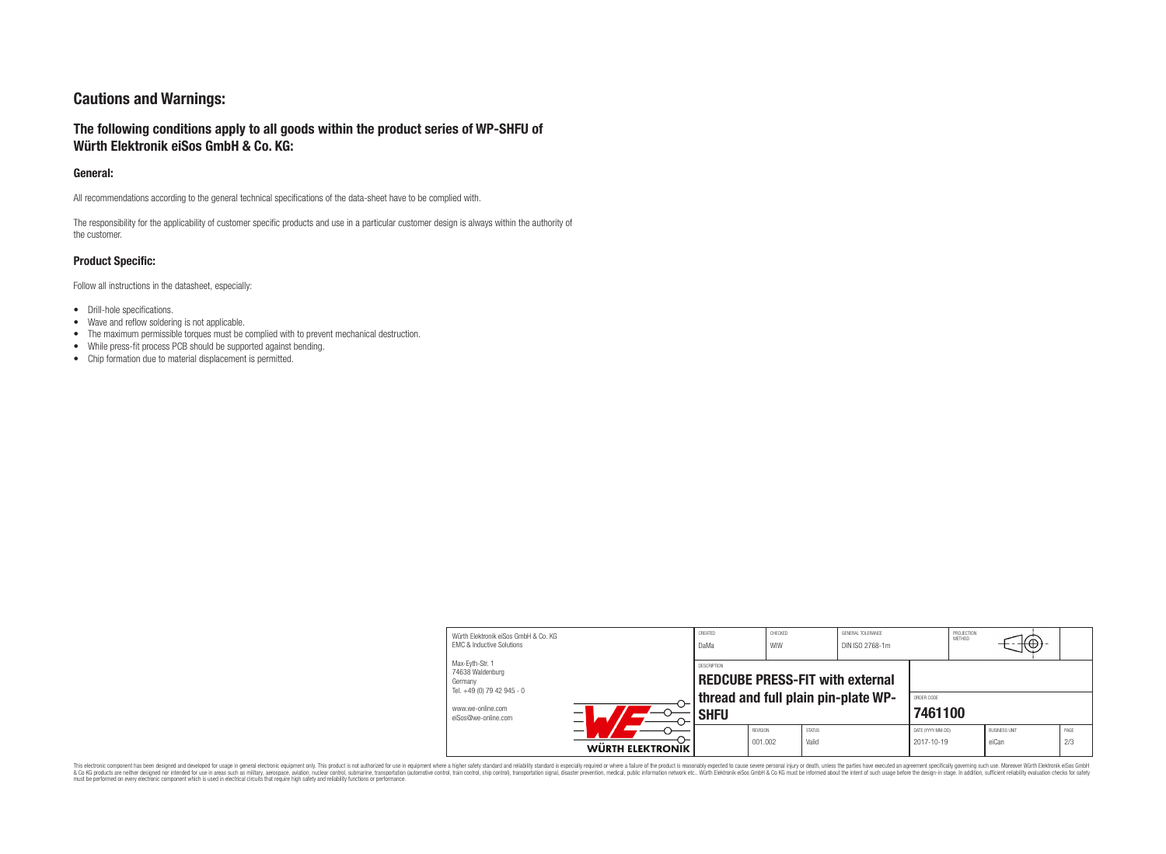# **Cautions and Warnings:**

# **The following conditions apply to all goods within the product series of WP-SHFU of Würth Elektronik eiSos GmbH & Co. KG:**

#### **General:**

All recommendations according to the general technical specifications of the data-sheet have to be complied with.

The responsibility for the applicability of customer specific products and use in a particular customer design is always within the authority of the customer.

### **Product Specific:**

Follow all instructions in the datasheet, especially:

- Drill-hole specifications.
- Wave and reflow soldering is not applicable.
- The maximum permissible torques must be complied with to prevent mechanical destruction.
- While press-fit process PCB should be supported against bending.
- Chip formation due to material displacement is permitted.

| Würth Flektronik eiSos GmbH & Co. KG<br><b>EMC &amp; Inductive Solutions</b> |                  | CREATED<br>DaMa | CHECKED<br>WIW      | GENERAL TOLERANCE<br>DIN ISO 2768-1m |                                                                               |                                 | PROJECTION<br>METHOD | $+\oplus$                     |             |
|------------------------------------------------------------------------------|------------------|-----------------|---------------------|--------------------------------------|-------------------------------------------------------------------------------|---------------------------------|----------------------|-------------------------------|-------------|
| Max-Eyth-Str. 1<br>74638 Waldenburg<br>Germany<br>Tel. +49 (0) 79 42 945 - 0 | DESCRIPTION      |                 |                     |                                      | <b>REDCUBE PRESS-FIT with external</b><br>thread and full plain pin-plate WP- |                                 |                      |                               |             |
| www.we-online.com<br>eiSos@we-online.com                                     |                  | <b>SHFU</b>     |                     |                                      |                                                                               | 7461100                         |                      |                               |             |
|                                                                              | WÜRTH ELEKTRONIK |                 | REVISION<br>001.002 | <b>STATUS</b><br>Valid               |                                                                               | DATE (YYYY-MM-DD)<br>2017-10-19 |                      | <b>BUSINESS UNIT</b><br>eiCan | PAGE<br>2/3 |

This electronic component has been designed and developed for usage in general electronic equipment only. This product is not authorized for subserved requipment where a higher selection equipment where a higher selection